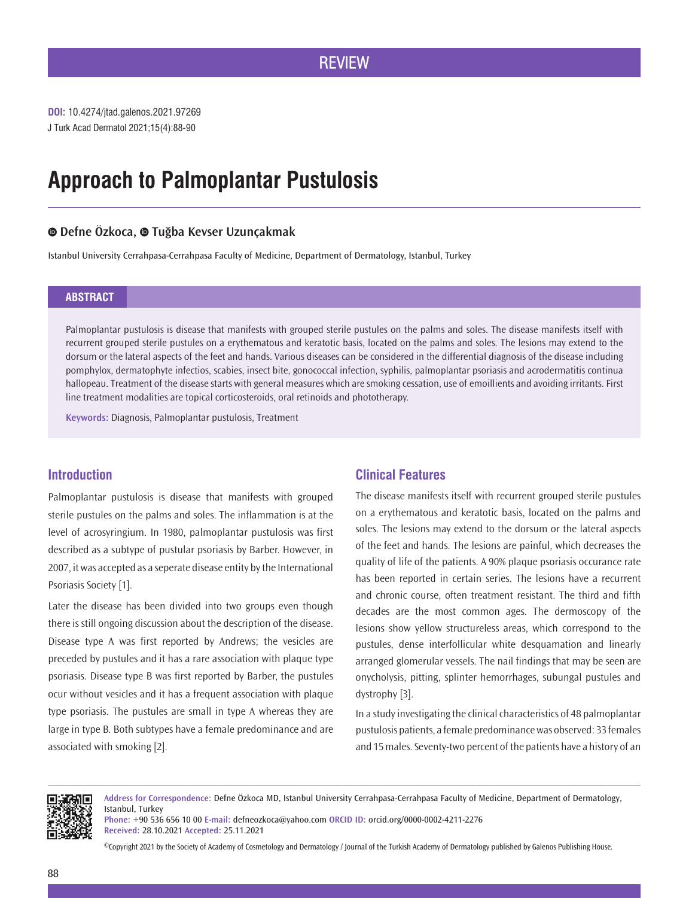## **REVIEW**

J Turk Acad Dermatol 2021;15(4):88-90 **DOI:** 10.4274/jtad.galenos.2021.97269

# **Approach to Palmoplantar Pustulosis**

## **Defne Özkoca,Tuğba Kevser Uzunçakmak**

Istanbul University Cerrahpasa-Cerrahpasa Faculty of Medicine, Department of Dermatology, Istanbul, Turkey

#### **ABSTRACT**

Palmoplantar pustulosis is disease that manifests with grouped sterile pustules on the palms and soles. The disease manifests itself with recurrent grouped sterile pustules on a erythematous and keratotic basis, located on the palms and soles. The lesions may extend to the dorsum or the lateral aspects of the feet and hands. Various diseases can be considered in the differential diagnosis of the disease including pomphylox, dermatophyte infectios, scabies, insect bite, gonococcal infection, syphilis, palmoplantar psoriasis and acrodermatitis continua hallopeau. Treatment of the disease starts with general measures which are smoking cessation, use of emoillients and avoiding irritants. First line treatment modalities are topical corticosteroids, oral retinoids and phototherapy.

**Keywords:** Diagnosis, Palmoplantar pustulosis, Treatment

## **Introduction**

Palmoplantar pustulosis is disease that manifests with grouped sterile pustules on the palms and soles. The inflammation is at the level of acrosyringium. In 1980, palmoplantar pustulosis was first described as a subtype of pustular psoriasis by Barber. However, in 2007, it was accepted as a seperate disease entity by the International Psoriasis Society [1].

Later the disease has been divided into two groups even though there is still ongoing discussion about the description of the disease. Disease type A was first reported by Andrews; the vesicles are preceded by pustules and it has a rare association with plaque type psoriasis. Disease type B was first reported by Barber, the pustules ocur without vesicles and it has a frequent association with plaque type psoriasis. The pustules are small in type A whereas they are large in type B. Both subtypes have a female predominance and are associated with smoking [2].

## **Clinical Features**

The disease manifests itself with recurrent grouped sterile pustules on a erythematous and keratotic basis, located on the palms and soles. The lesions may extend to the dorsum or the lateral aspects of the feet and hands. The lesions are painful, which decreases the quality of life of the patients. A 90% plaque psoriasis occurance rate has been reported in certain series. The lesions have a recurrent and chronic course, often treatment resistant. The third and fifth decades are the most common ages. The dermoscopy of the lesions show yellow structureless areas, which correspond to the pustules, dense interfollicular white desquamation and linearly arranged glomerular vessels. The nail findings that may be seen are onycholysis, pitting, splinter hemorrhages, subungal pustules and dystrophy [3].

In a study investigating the clinical characteristics of 48 palmoplantar pustulosis patients, a female predominance was observed: 33 females and 15 males. Seventy-two percent of the patients have a history of an



**Address for Correspondence:** Defne Özkoca MD, Istanbul University Cerrahpasa-Cerrahpasa Faculty of Medicine, Department of Dermatology, Istanbul, Turkey

**Phone:** +90 536 656 10 00 **E-mail:** defneozkoca@yahoo.com **ORCID ID:** orcid.org/0000-0002-4211-2276 **Received:** 28.10.2021 **Accepted:** 25.11.2021

©Copyright 2021 by the Society of Academy of Cosmetology and Dermatology / Journal of the Turkish Academy of Dermatology published by Galenos Publishing House.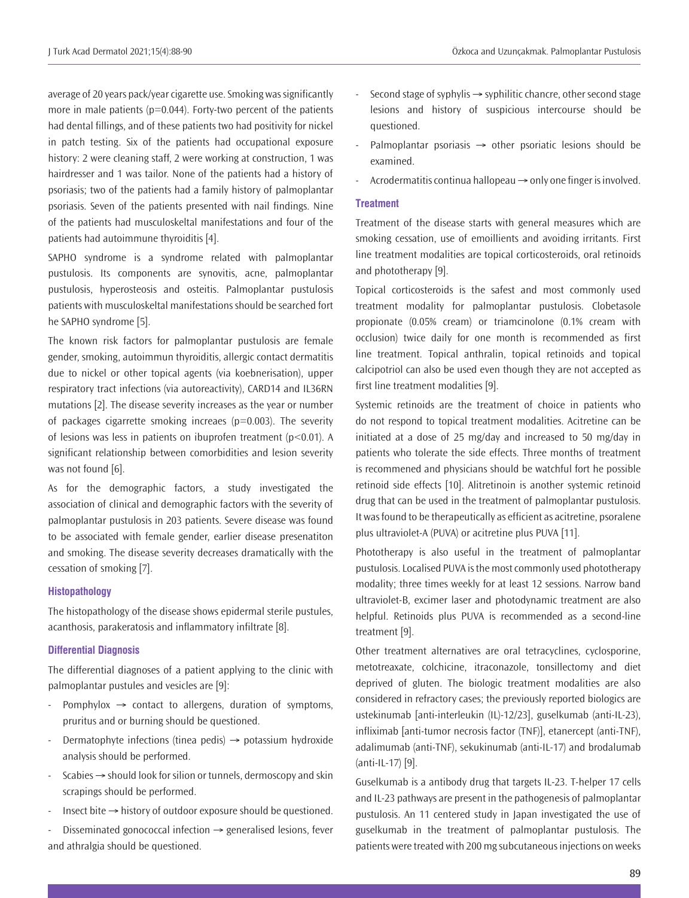average of 20 years pack/year cigarette use. Smoking was significantly more in male patients ( $p=0.044$ ). Forty-two percent of the patients had dental fillings, and of these patients two had positivity for nickel in patch testing. Six of the patients had occupational exposure history: 2 were cleaning staff, 2 were working at construction, 1 was hairdresser and 1 was tailor. None of the patients had a history of psoriasis; two of the patients had a family history of palmoplantar psoriasis. Seven of the patients presented with nail findings. Nine of the patients had musculoskeltal manifestations and four of the patients had autoimmune thyroiditis [4].

SAPHO syndrome is a syndrome related with palmoplantar pustulosis. Its components are synovitis, acne, palmoplantar pustulosis, hyperosteosis and osteitis. Palmoplantar pustulosis patients with musculoskeltal manifestations should be searched fort he SAPHO syndrome [5].

The known risk factors for palmoplantar pustulosis are female gender, smoking, autoimmun thyroiditis, allergic contact dermatitis due to nickel or other topical agents (via koebnerisation), upper respiratory tract infections (via autoreactivity), CARD14 and IL36RN mutations [2]. The disease severity increases as the year or number of packages cigarrette smoking increaes (p=0.003). The severity of lesions was less in patients on ibuprofen treatment (p<0.01). A significant relationship between comorbidities and lesion severity was not found [6].

As for the demographic factors, a study investigated the association of clinical and demographic factors with the severity of palmoplantar pustulosis in 203 patients. Severe disease was found to be associated with female gender, earlier disease presenatiton and smoking. The disease severity decreases dramatically with the cessation of smoking [7].

#### **Histopathology**

The histopathology of the disease shows epidermal sterile pustules, acanthosis, parakeratosis and inflammatory infiltrate [8].

### **Differential Diagnosis**

The differential diagnoses of a patient applying to the clinic with palmoplantar pustules and vesicles are [9]:

- Pomphylox  $\rightarrow$  contact to allergens, duration of symptoms, pruritus and or burning should be questioned.
- Dermatophyte infections (tinea pedis)  $\rightarrow$  potassium hydroxide analysis should be performed.
- $S$ cabies  $\rightarrow$  should look for silion or tunnels, dermoscopy and skin scrapings should be performed.
- Insect bite  $\rightarrow$  history of outdoor exposure should be questioned.

Disseminated gonococcal infection  $\rightarrow$  generalised lesions, fever and athralgia should be questioned.

- Second stage of syphylis  $\rightarrow$  syphilitic chancre, other second stage lesions and history of suspicious intercourse should be questioned.
- Palmoplantar psoriasis  $\rightarrow$  other psoriatic lesions should be examined.
- Acrodermatitis continua hallopeau  $\rightarrow$  only one finger is involved.

#### **Treatment**

Treatment of the disease starts with general measures which are smoking cessation, use of emoillients and avoiding irritants. First line treatment modalities are topical corticosteroids, oral retinoids and phototherapy [9].

Topical corticosteroids is the safest and most commonly used treatment modality for palmoplantar pustulosis. Clobetasole propionate (0.05% cream) or triamcinolone (0.1% cream with occlusion) twice daily for one month is recommended as first line treatment. Topical anthralin, topical retinoids and topical calcipotriol can also be used even though they are not accepted as first line treatment modalities [9].

Systemic retinoids are the treatment of choice in patients who do not respond to topical treatment modalities. Acitretine can be initiated at a dose of 25 mg/day and increased to 50 mg/day in patients who tolerate the side effects. Three months of treatment is recommened and physicians should be watchful fort he possible retinoid side effects [10]. Alitretinoin is another systemic retinoid drug that can be used in the treatment of palmoplantar pustulosis. It was found to be therapeutically as efficient as acitretine, psoralene plus ultraviolet-A (PUVA) or acitretine plus PUVA [11].

Phototherapy is also useful in the treatment of palmoplantar pustulosis. Localised PUVA is the most commonly used phototherapy modality; three times weekly for at least 12 sessions. Narrow band ultraviolet-B, excimer laser and photodynamic treatment are also helpful. Retinoids plus PUVA is recommended as a second-line treatment [9].

Other treatment alternatives are oral tetracyclines, cyclosporine, metotreaxate, colchicine, itraconazole, tonsillectomy and diet deprived of gluten. The biologic treatment modalities are also considered in refractory cases; the previously reported biologics are ustekinumab [anti-interleukin (IL)-12/23], guselkumab (anti-IL-23), infliximab [anti-tumor necrosis factor (TNF)], etanercept (anti-TNF), adalimumab (anti-TNF), sekukinumab (anti-IL-17) and brodalumab (anti-IL-17) [9].

Guselkumab is a antibody drug that targets IL-23. T-helper 17 cells and IL-23 pathways are present in the pathogenesis of palmoplantar pustulosis. An 11 centered study in Japan investigated the use of guselkumab in the treatment of palmoplantar pustulosis. The patients were treated with 200 mg subcutaneous injections on weeks